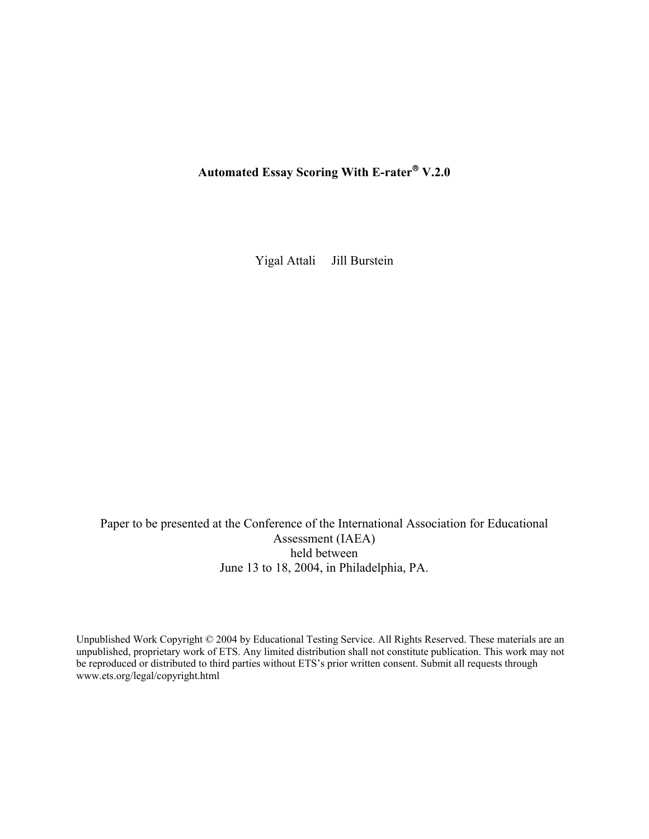Automated Essay Scoring With E-rater<sup>®</sup> V.2.0

Yigal Attali Jill Burstein

Paper to be presented at the Conference of the International Association for Educational Assessment (IAEA) held between June 13 to 18, 2004, in Philadelphia, PA.

Unpublished Work Copyright © 2004 by Educational Testing Service. All Rights Reserved. These materials are an unpublished, proprietary work of ETS. Any limited distribution shall not constitute publication. This work may not be reproduced or distributed to third parties without ETS's prior written consent. Submit all requests through www.ets.org/legal/copyright.html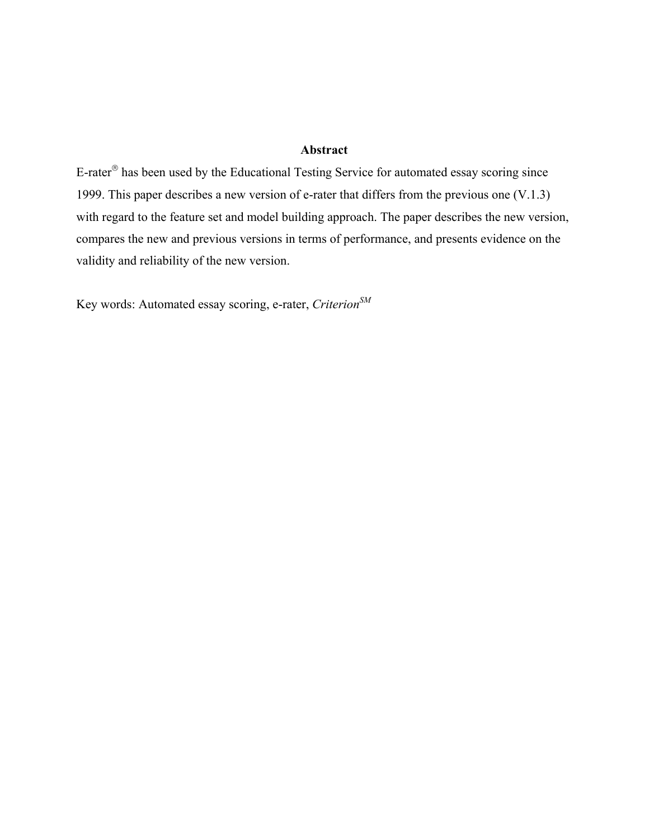# **Abstract**

E-rater<sup>®</sup> has been used by the Educational Testing Service for automated essay scoring since 1999. This paper describes a new version of e-rater that differs from the previous one (V.1.3) with regard to the feature set and model building approach. The paper describes the new version, compares the new and previous versions in terms of performance, and presents evidence on the validity and reliability of the new version.

Key words: Automated essay scoring, e-rater, *Criterion SM*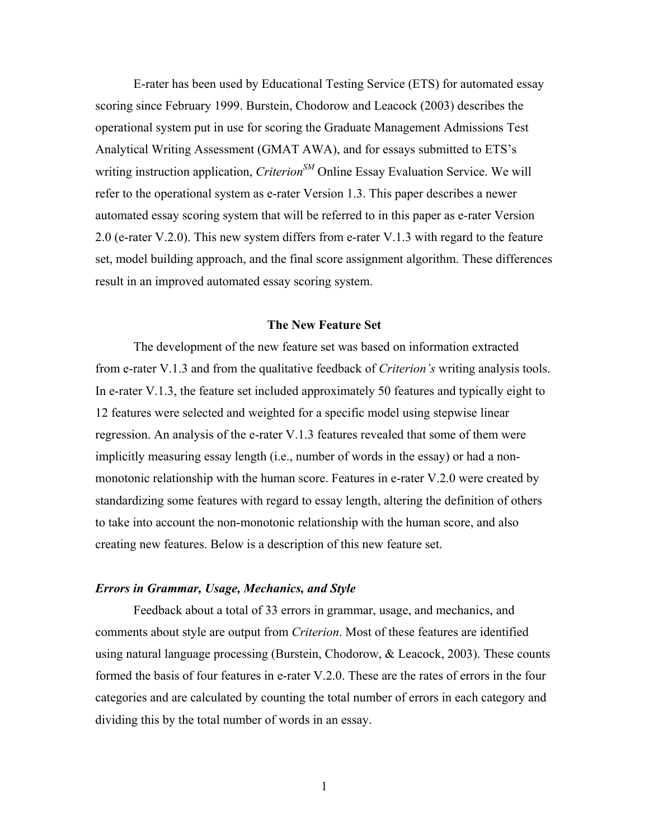E-rater has been used by Educational Testing Service (ETS) for automated essay scoring since February 1999. Burstein, Chodorow and Leacock (2003) describes the operational system put in use for scoring the Graduate Management Admissions Test Analytical Writing Assessment (GMAT AWA), and for essays submitted to ETS's writing instruction application, *CriterionSM* Online Essay Evaluation Service. We will refer to the operational system as e-rater Version 1.3. This paper describes a newer automated essay scoring system that will be referred to in this paper as e-rater Version 2.0 (e-rater V.2.0). This new system differs from e-rater V.1.3 with regard to the feature set, model building approach, and the final score assignment algorithm. These differences result in an improved automated essay scoring system.

### **The New Feature Set**

The development of the new feature set was based on information extracted from e-rater V.1.3 and from the qualitative feedback of *Criterion's* writing analysis tools. In e-rater V.1.3, the feature set included approximately 50 features and typically eight to 12 features were selected and weighted for a specific model using stepwise linear regression. An analysis of the e-rater V.1.3 features revealed that some of them were implicitly measuring essay length (i.e., number of words in the essay) or had a nonmonotonic relationship with the human score. Features in e-rater V.2.0 were created by standardizing some features with regard to essay length, altering the definition of others to take into account the non-monotonic relationship with the human score, and also creating new features. Below is a description of this new feature set.

# *Errors in Grammar, Usage, Mechanics, and Style*

Feedback about a total of 33 errors in grammar, usage, and mechanics, and comments about style are output from *Criterion*. Most of these features are identified using natural language processing (Burstein, Chodorow, & Leacock, 2003). These counts formed the basis of four features in e-rater V.2.0. These are the rates of errors in the four categories and are calculated by counting the total number of errors in each category and dividing this by the total number of words in an essay.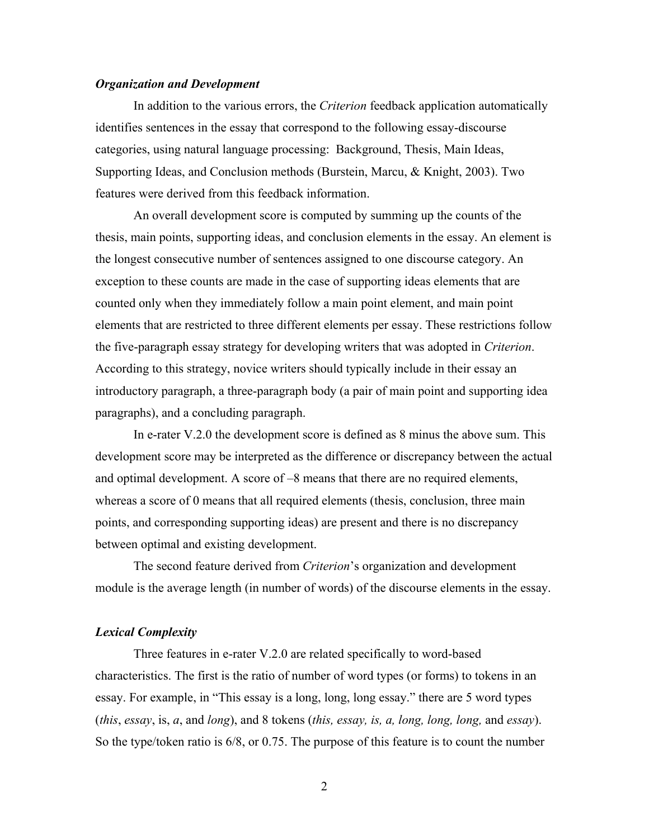## *Organization and Development*

In addition to the various errors, the *Criterion* feedback application automatically identifies sentences in the essay that correspond to the following essay-discourse categories, using natural language processing: Background, Thesis, Main Ideas, Supporting Ideas, and Conclusion methods (Burstein, Marcu, & Knight, 2003). Two features were derived from this feedback information.

An overall development score is computed by summing up the counts of the thesis, main points, supporting ideas, and conclusion elements in the essay. An element is the longest consecutive number of sentences assigned to one discourse category. An exception to these counts are made in the case of supporting ideas elements that are counted only when they immediately follow a main point element, and main point elements that are restricted to three different elements per essay. These restrictions follow the five-paragraph essay strategy for developing writers that was adopted in *Criterion*. According to this strategy, novice writers should typically include in their essay an introductory paragraph, a three-paragraph body (a pair of main point and supporting idea paragraphs), and a concluding paragraph.

In e-rater V.2.0 the development score is defined as 8 minus the above sum. This development score may be interpreted as the difference or discrepancy between the actual and optimal development. A score of –8 means that there are no required elements, whereas a score of 0 means that all required elements (thesis, conclusion, three main points, and corresponding supporting ideas) are present and there is no discrepancy between optimal and existing development.

The second feature derived from *Criterion*'s organization and development module is the average length (in number of words) of the discourse elements in the essay.

## *Lexical Complexity*

Three features in e-rater V.2.0 are related specifically to word-based characteristics. The first is the ratio of number of word types (or forms) to tokens in an essay. For example, in "This essay is a long, long, long essay." there are 5 word types (*this*, *essay*, is, *a*, and *long*), and 8 tokens (*this, essay, is, a, long, long, long,* and *essay*). So the type/token ratio is 6/8, or 0.75. The purpose of this feature is to count the number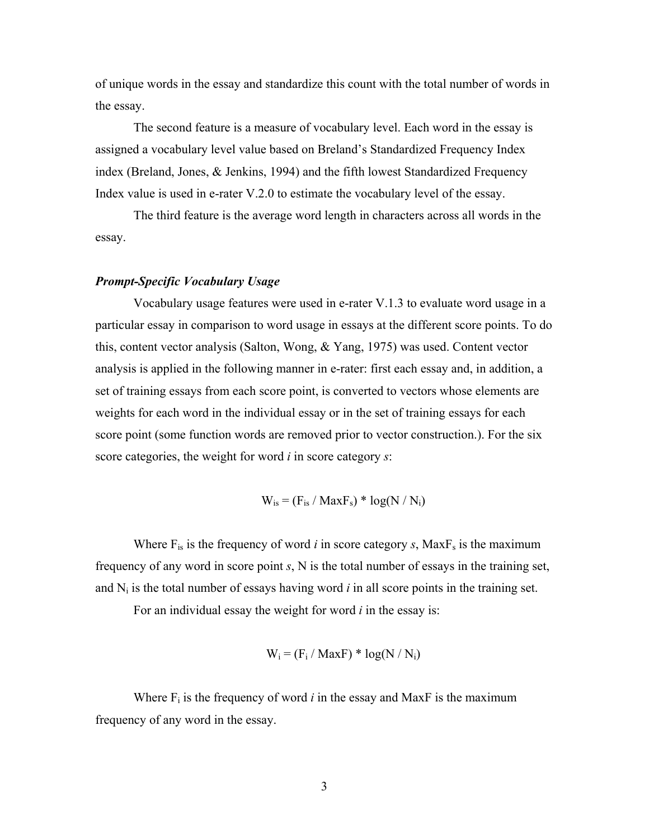of unique words in the essay and standardize this count with the total number of words in the essay.

The second feature is a measure of vocabulary level. Each word in the essay is assigned a vocabulary level value based on Breland's Standardized Frequency Index index (Breland, Jones, & Jenkins, 1994) and the fifth lowest Standardized Frequency Index value is used in e-rater V.2.0 to estimate the vocabulary level of the essay.

The third feature is the average word length in characters across all words in the essay.

### *Prompt-Specific Vocabulary Usage*

Vocabulary usage features were used in e-rater V.1.3 to evaluate word usage in a particular essay in comparison to word usage in essays at the different score points. To do this, content vector analysis (Salton, Wong, & Yang, 1975) was used. Content vector analysis is applied in the following manner in e-rater: first each essay and, in addition, a set of training essays from each score point, is converted to vectors whose elements are weights for each word in the individual essay or in the set of training essays for each score point (some function words are removed prior to vector construction.). For the six score categories, the weight for word *i* in score category *s*:

$$
W_{is} = (F_{is} / \text{Max}F_s) * \log(N / N_i)
$$

Where  $F_{is}$  is the frequency of word *i* in score category *s*, Max $F_s$  is the maximum frequency of any word in score point *s*, N is the total number of essays in the training set, and  $N_i$  is the total number of essays having word  $i$  in all score points in the training set.

For an individual essay the weight for word *i* in the essay is:

$$
W_i = (F_i / \text{MaxF}) * \log(N / N_i)
$$

Where  $F_i$  is the frequency of word *i* in the essay and MaxF is the maximum frequency of any word in the essay.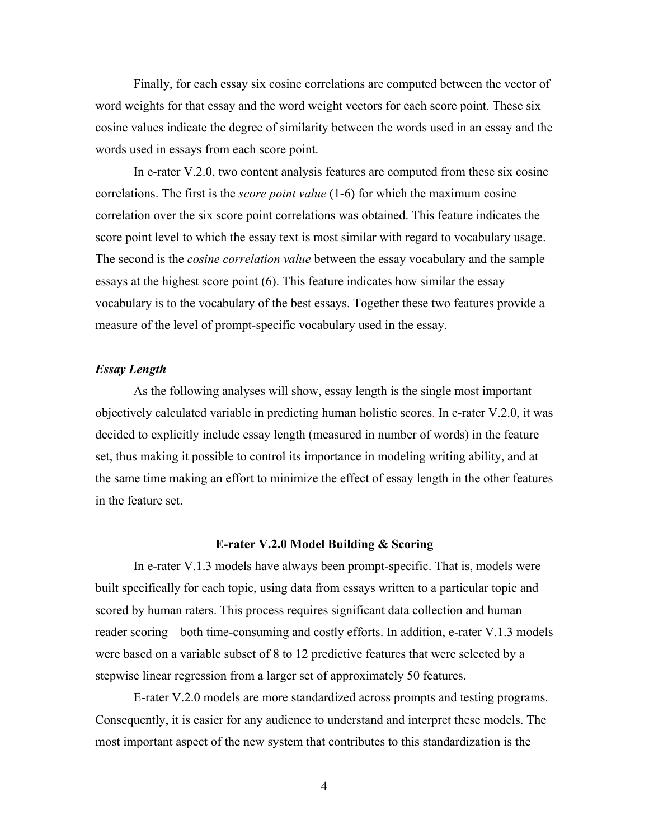Finally, for each essay six cosine correlations are computed between the vector of word weights for that essay and the word weight vectors for each score point. These six cosine values indicate the degree of similarity between the words used in an essay and the words used in essays from each score point.

In e-rater V.2.0, two content analysis features are computed from these six cosine correlations. The first is the *score point value* (1-6) for which the maximum cosine correlation over the six score point correlations was obtained. This feature indicates the score point level to which the essay text is most similar with regard to vocabulary usage. The second is the *cosine correlation value* between the essay vocabulary and the sample essays at the highest score point (6). This feature indicates how similar the essay vocabulary is to the vocabulary of the best essays. Together these two features provide a measure of the level of prompt-specific vocabulary used in the essay.

## *Essay Length*

As the following analyses will show, essay length is the single most important objectively calculated variable in predicting human holistic scores. In e-rater V.2.0, it was decided to explicitly include essay length (measured in number of words) in the feature set, thus making it possible to control its importance in modeling writing ability, and at the same time making an effort to minimize the effect of essay length in the other features in the feature set.

## **E-rater V.2.0 Model Building & Scoring**

In e-rater V.1.3 models have always been prompt-specific. That is, models were built specifically for each topic, using data from essays written to a particular topic and scored by human raters. This process requires significant data collection and human reader scoring—both time-consuming and costly efforts. In addition, e-rater V.1.3 models were based on a variable subset of 8 to 12 predictive features that were selected by a stepwise linear regression from a larger set of approximately 50 features.

E-rater V.2.0 models are more standardized across prompts and testing programs. Consequently, it is easier for any audience to understand and interpret these models. The most important aspect of the new system that contributes to this standardization is the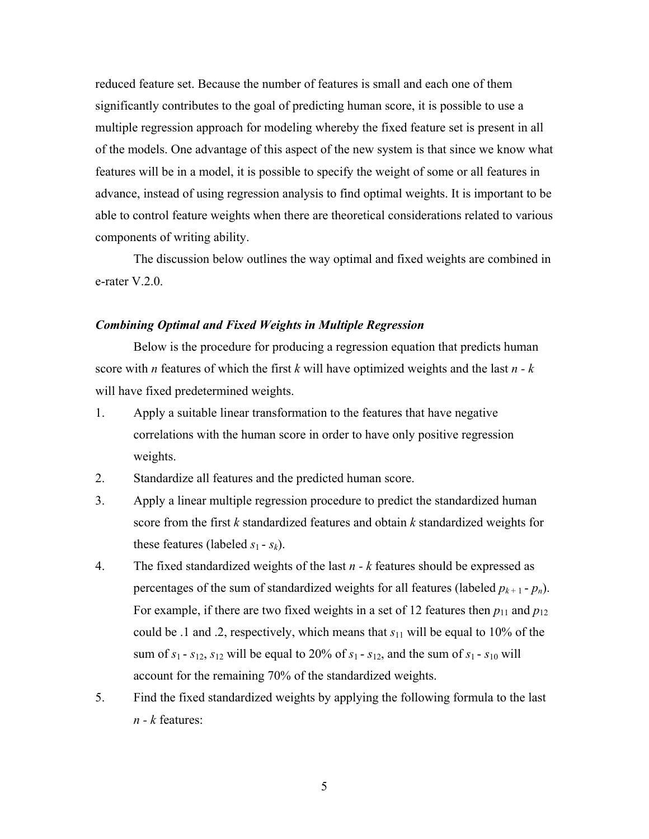reduced feature set. Because the number of features is small and each one of them significantly contributes to the goal of predicting human score, it is possible to use a multiple regression approach for modeling whereby the fixed feature set is present in all of the models. One advantage of this aspect of the new system is that since we know what features will be in a model, it is possible to specify the weight of some or all features in advance, instead of using regression analysis to find optimal weights. It is important to be able to control feature weights when there are theoretical considerations related to various components of writing ability.

The discussion below outlines the way optimal and fixed weights are combined in e-rater V.2.0.

### *Combining Optimal and Fixed Weights in Multiple Regression*

Below is the procedure for producing a regression equation that predicts human score with *n* features of which the first *k* will have optimized weights and the last *n - k* will have fixed predetermined weights.

- 1. Apply a suitable linear transformation to the features that have negative correlations with the human score in order to have only positive regression weights.
- 2. Standardize all features and the predicted human score.
- 3. Apply a linear multiple regression procedure to predict the standardized human score from the first *k* standardized features and obtain *k* standardized weights for these features (labeled  $s_1 - s_k$ ).
- 4. The fixed standardized weights of the last *n k* features should be expressed as percentages of the sum of standardized weights for all features (labeled  $p_{k+1}$  -  $p_n$ ). For example, if there are two fixed weights in a set of 12 features then  $p_{11}$  and  $p_{12}$ could be .1 and .2, respectively, which means that *s*11 will be equal to 10% of the sum of  $s_1$  -  $s_{12}$ ,  $s_{12}$  will be equal to 20% of  $s_1$  -  $s_{12}$ , and the sum of  $s_1$  -  $s_{10}$  will account for the remaining 70% of the standardized weights.
- 5. Find the fixed standardized weights by applying the following formula to the last *n - k* features: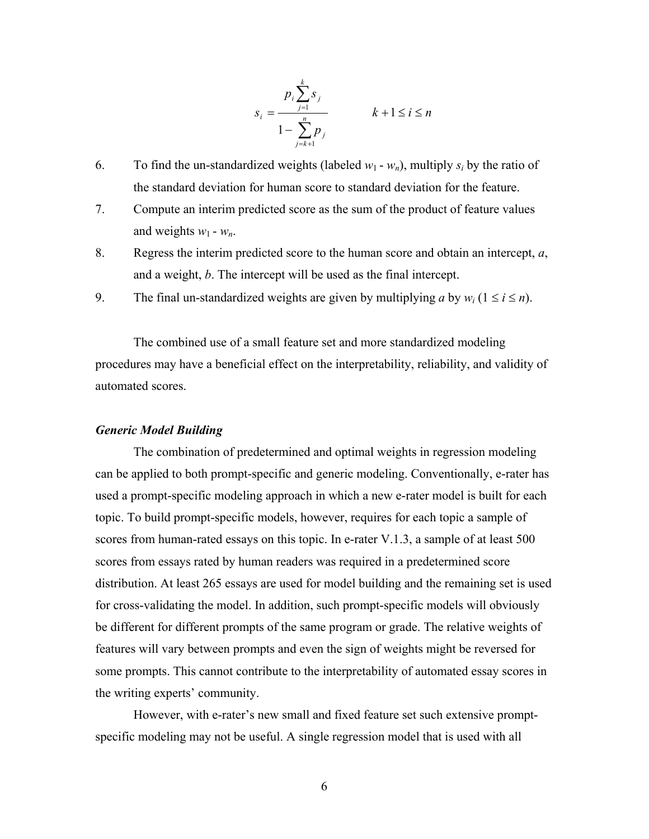$$
s_i = \frac{p_i \sum_{j=1}^k s_j}{1 - \sum_{j=k+1}^n p_j}
$$
  $k+1 \le i \le n$ 

- 6. To find the un-standardized weights (labeled  $w_1 w_n$ ), multiply  $s_i$  by the ratio of the standard deviation for human score to standard deviation for the feature.
- 7. Compute an interim predicted score as the sum of the product of feature values and weights  $w_1 - w_n$ .
- 8. Regress the interim predicted score to the human score and obtain an intercept, *a*, and a weight, *b*. The intercept will be used as the final intercept.
- 9. The final un-standardized weights are given by multiplying *a* by  $w_i$  ( $1 \le i \le n$ ).

The combined use of a small feature set and more standardized modeling procedures may have a beneficial effect on the interpretability, reliability, and validity of automated scores.

### *Generic Model Building*

The combination of predetermined and optimal weights in regression modeling can be applied to both prompt-specific and generic modeling. Conventionally, e-rater has used a prompt-specific modeling approach in which a new e-rater model is built for each topic. To build prompt-specific models, however, requires for each topic a sample of scores from human-rated essays on this topic. In e-rater V.1.3, a sample of at least 500 scores from essays rated by human readers was required in a predetermined score distribution. At least 265 essays are used for model building and the remaining set is used for cross-validating the model. In addition, such prompt-specific models will obviously be different for different prompts of the same program or grade. The relative weights of features will vary between prompts and even the sign of weights might be reversed for some prompts. This cannot contribute to the interpretability of automated essay scores in the writing experts' community.

However, with e-rater's new small and fixed feature set such extensive promptspecific modeling may not be useful. A single regression model that is used with all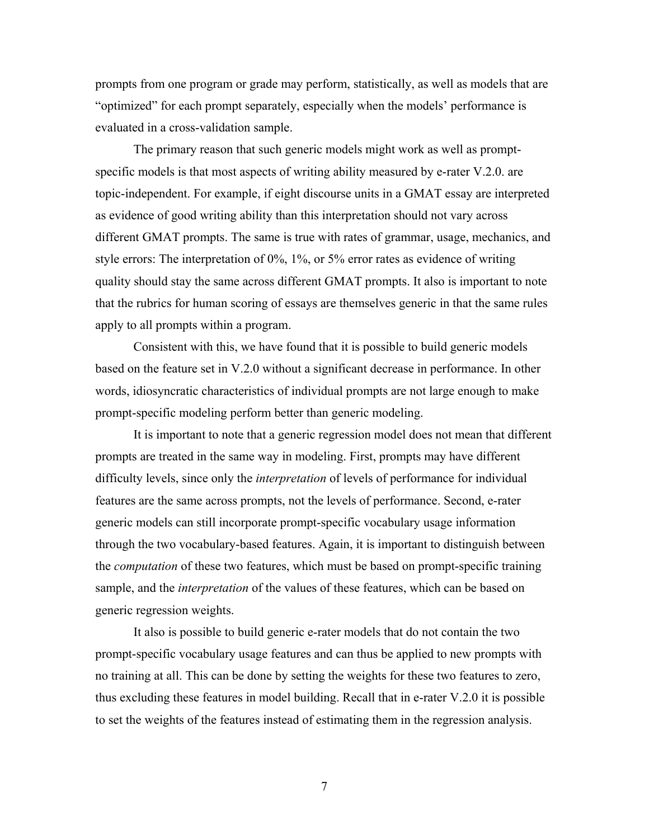prompts from one program or grade may perform, statistically, as well as models that are "optimized" for each prompt separately, especially when the models' performance is evaluated in a cross-validation sample.

The primary reason that such generic models might work as well as promptspecific models is that most aspects of writing ability measured by e-rater V.2.0. are topic-independent. For example, if eight discourse units in a GMAT essay are interpreted as evidence of good writing ability than this interpretation should not vary across different GMAT prompts. The same is true with rates of grammar, usage, mechanics, and style errors: The interpretation of 0%, 1%, or 5% error rates as evidence of writing quality should stay the same across different GMAT prompts. It also is important to note that the rubrics for human scoring of essays are themselves generic in that the same rules apply to all prompts within a program.

Consistent with this, we have found that it is possible to build generic models based on the feature set in V.2.0 without a significant decrease in performance. In other words, idiosyncratic characteristics of individual prompts are not large enough to make prompt-specific modeling perform better than generic modeling.

It is important to note that a generic regression model does not mean that different prompts are treated in the same way in modeling. First, prompts may have different difficulty levels, since only the *interpretation* of levels of performance for individual features are the same across prompts, not the levels of performance. Second, e-rater generic models can still incorporate prompt-specific vocabulary usage information through the two vocabulary-based features. Again, it is important to distinguish between the *computation* of these two features, which must be based on prompt-specific training sample, and the *interpretation* of the values of these features, which can be based on generic regression weights.

It also is possible to build generic e-rater models that do not contain the two prompt-specific vocabulary usage features and can thus be applied to new prompts with no training at all. This can be done by setting the weights for these two features to zero, thus excluding these features in model building. Recall that in e-rater V.2.0 it is possible to set the weights of the features instead of estimating them in the regression analysis.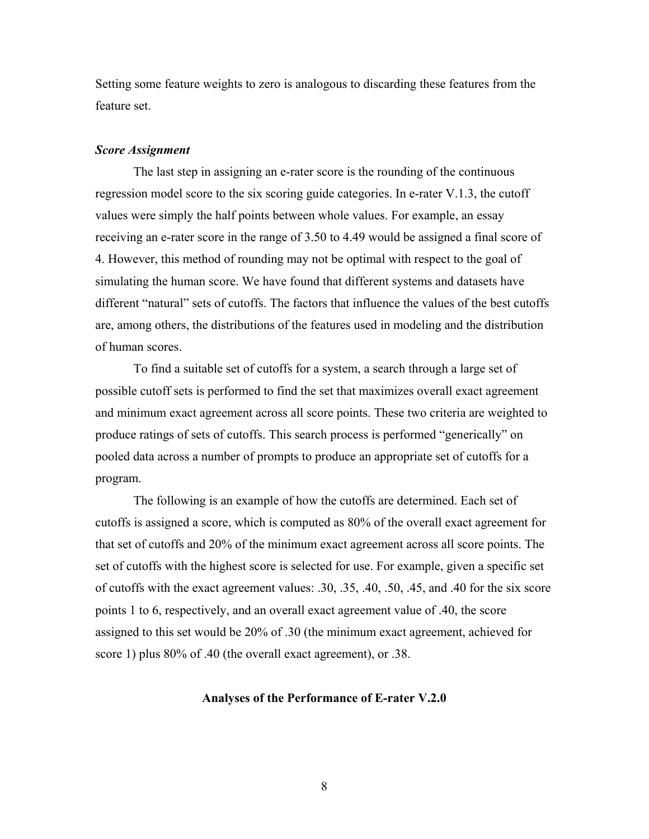Setting some feature weights to zero is analogous to discarding these features from the feature set.

### *Score Assignment*

The last step in assigning an e-rater score is the rounding of the continuous regression model score to the six scoring guide categories. In e-rater V.1.3, the cutoff values were simply the half points between whole values. For example, an essay receiving an e-rater score in the range of 3.50 to 4.49 would be assigned a final score of 4. However, this method of rounding may not be optimal with respect to the goal of simulating the human score. We have found that different systems and datasets have different "natural" sets of cutoffs. The factors that influence the values of the best cutoffs are, among others, the distributions of the features used in modeling and the distribution of human scores.

To find a suitable set of cutoffs for a system, a search through a large set of possible cutoff sets is performed to find the set that maximizes overall exact agreement and minimum exact agreement across all score points. These two criteria are weighted to produce ratings of sets of cutoffs. This search process is performed "generically" on pooled data across a number of prompts to produce an appropriate set of cutoffs for a program.

The following is an example of how the cutoffs are determined. Each set of cutoffs is assigned a score, which is computed as 80% of the overall exact agreement for that set of cutoffs and 20% of the minimum exact agreement across all score points. The set of cutoffs with the highest score is selected for use. For example, given a specific set of cutoffs with the exact agreement values: .30, .35, .40, .50, .45, and .40 for the six score points 1 to 6, respectively, and an overall exact agreement value of .40, the score assigned to this set would be 20% of .30 (the minimum exact agreement, achieved for score 1) plus 80% of .40 (the overall exact agreement), or .38.

### **Analyses of the Performance of E-rater V.2.0**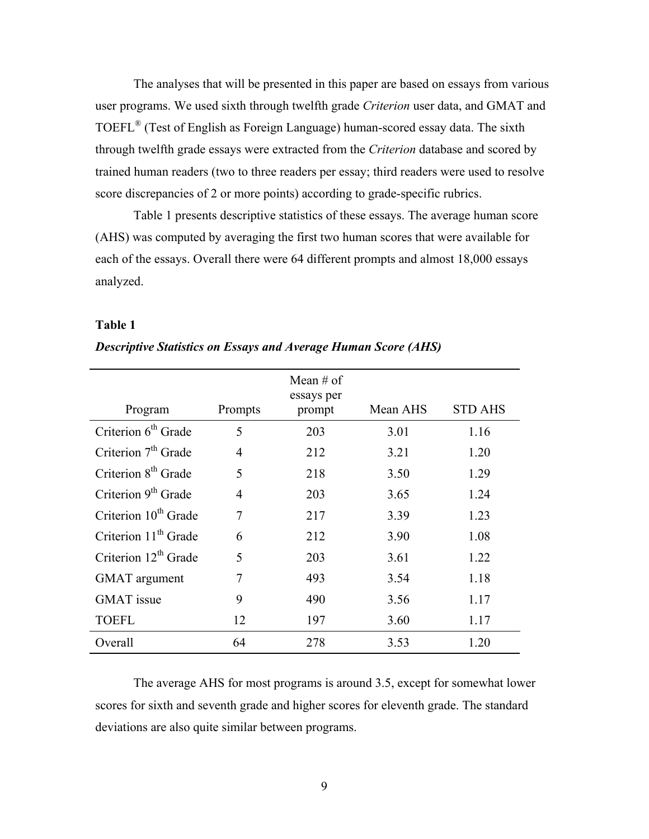The analyses that will be presented in this paper are based on essays from various user programs. We used sixth through twelfth grade *Criterion* user data, and GMAT and TOEFL® (Test of English as Foreign Language) human-scored essay data. The sixth through twelfth grade essays were extracted from the *Criterion* database and scored by trained human readers (two to three readers per essay; third readers were used to resolve score discrepancies of 2 or more points) according to grade-specific rubrics.

Table 1 presents descriptive statistics of these essays. The average human score (AHS) was computed by averaging the first two human scores that were available for each of the essays. Overall there were 64 different prompts and almost 18,000 essays analyzed.

### **Table 1**

| Program                          | Prompts | Mean # of<br>essays per<br>prompt | Mean AHS | <b>STD AHS</b> |
|----------------------------------|---------|-----------------------------------|----------|----------------|
| Criterion 6 <sup>th</sup> Grade  | 5       | 203                               | 3.01     | 1.16           |
| Criterion $7th$ Grade            | 4       | 212                               | 3.21     | 1.20           |
| Criterion 8 <sup>th</sup> Grade  | 5       | 218                               | 3.50     | 1.29           |
| Criterion 9 <sup>th</sup> Grade  | 4       | 203                               | 3.65     | 1.24           |
| Criterion 10 <sup>th</sup> Grade | 7       | 217                               | 3.39     | 1.23           |
| Criterion 11 <sup>th</sup> Grade | 6       | 212                               | 3.90     | 1.08           |
| Criterion $12^{th}$ Grade        | 5       | 203                               | 3.61     | 1.22           |
| <b>GMAT</b> argument             | 7       | 493                               | 3.54     | 1.18           |
| <b>GMAT</b> issue                | 9       | 490                               | 3.56     | 1.17           |
| <b>TOEFL</b>                     | 12      | 197                               | 3.60     | 1.17           |
| Overall                          | 64      | 278                               | 3.53     | 1.20           |

*Descriptive Statistics on Essays and Average Human Score (AHS)* 

The average AHS for most programs is around 3.5, except for somewhat lower scores for sixth and seventh grade and higher scores for eleventh grade. The standard deviations are also quite similar between programs.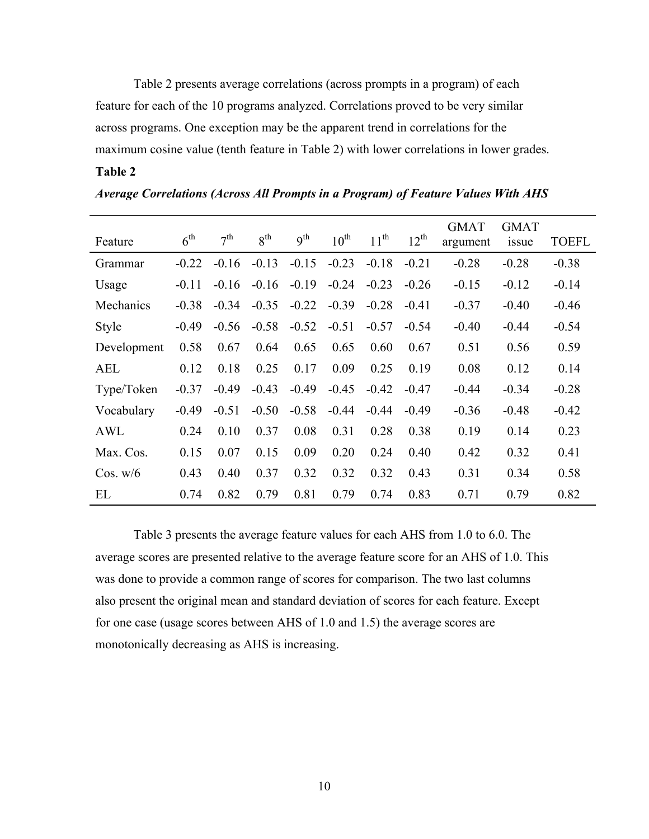Table 2 presents average correlations (across prompts in a program) of each feature for each of the 10 programs analyzed. Correlations proved to be very similar across programs. One exception may be the apparent trend in correlations for the maximum cosine value (tenth feature in Table 2) with lower correlations in lower grades.

# **Table 2**

| Feature      | 6 <sup>th</sup> | 7 <sup>th</sup> | 8 <sup>th</sup> | 9 <sup>th</sup> | $10^{\text{th}}$ | $11^{th}$ | $12^{th}$ | <b>GMAT</b><br>argument | <b>GMAT</b><br>issue | <b>TOEFL</b> |
|--------------|-----------------|-----------------|-----------------|-----------------|------------------|-----------|-----------|-------------------------|----------------------|--------------|
| Grammar      | $-0.22$         | $-0.16$         | $-0.13$         | $-0.15$         | $-0.23$          | $-0.18$   | $-0.21$   | $-0.28$                 | $-0.28$              | $-0.38$      |
| Usage        | $-0.11$         | $-0.16$         | $-0.16$         | $-0.19$         | $-0.24$          | $-0.23$   | $-0.26$   | $-0.15$                 | $-0.12$              | $-0.14$      |
| Mechanics    | $-0.38$         | $-0.34$         | $-0.35$         | $-0.22$         | $-0.39$          | $-0.28$   | $-0.41$   | $-0.37$                 | $-0.40$              | $-0.46$      |
| <b>Style</b> | $-0.49$         | $-0.56$         | $-0.58$         | $-0.52$         | $-0.51$          | $-0.57$   | $-0.54$   | $-0.40$                 | $-0.44$              | $-0.54$      |
| Development  | 0.58            | 0.67            | 0.64            | 0.65            | 0.65             | 0.60      | 0.67      | 0.51                    | 0.56                 | 0.59         |
| <b>AEL</b>   | 0.12            | 0.18            | 0.25            | 0.17            | 0.09             | 0.25      | 0.19      | 0.08                    | 0.12                 | 0.14         |
| Type/Token   | $-0.37$         | $-0.49$         | $-0.43$         | $-0.49$         | $-0.45$          | $-0.42$   | $-0.47$   | $-0.44$                 | $-0.34$              | $-0.28$      |
| Vocabulary   | $-0.49$         | $-0.51$         | $-0.50$         | $-0.58$         | $-0.44$          | $-0.44$   | $-0.49$   | $-0.36$                 | $-0.48$              | $-0.42$      |
| AWL          | 0.24            | 0.10            | 0.37            | 0.08            | 0.31             | 0.28      | 0.38      | 0.19                    | 0.14                 | 0.23         |
| Max. Cos.    | 0.15            | 0.07            | 0.15            | 0.09            | 0.20             | 0.24      | 0.40      | 0.42                    | 0.32                 | 0.41         |
| $\cos$ , w/6 | 0.43            | 0.40            | 0.37            | 0.32            | 0.32             | 0.32      | 0.43      | 0.31                    | 0.34                 | 0.58         |
| EL           | 0.74            | 0.82            | 0.79            | 0.81            | 0.79             | 0.74      | 0.83      | 0.71                    | 0.79                 | 0.82         |

*Average Correlations (Across All Prompts in a Program) of Feature Values With AHS* 

Table 3 presents the average feature values for each AHS from 1.0 to 6.0. The average scores are presented relative to the average feature score for an AHS of 1.0. This was done to provide a common range of scores for comparison. The two last columns also present the original mean and standard deviation of scores for each feature. Except for one case (usage scores between AHS of 1.0 and 1.5) the average scores are monotonically decreasing as AHS is increasing.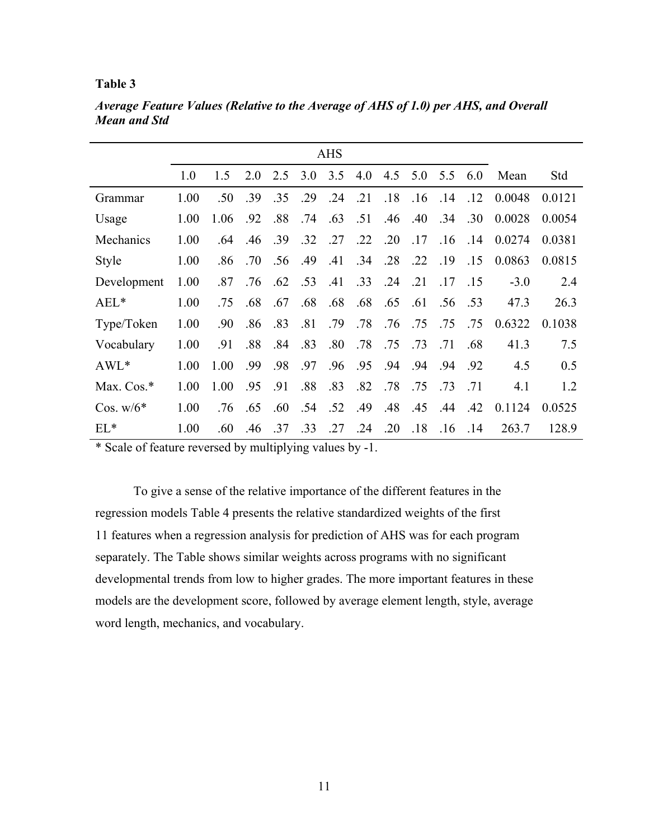|              |      |      |     |     |     | <b>AHS</b> |     |     |     |     |     |        |        |
|--------------|------|------|-----|-----|-----|------------|-----|-----|-----|-----|-----|--------|--------|
|              | 1.0  | 1.5  | 2.0 | 2.5 | 3.0 | 3.5        | 4.0 | 4.5 | 5.0 | 5.5 | 6.0 | Mean   | Std    |
| Grammar      | 1.00 | .50  | .39 | .35 | .29 | .24        | .21 | .18 | .16 | .14 | .12 | 0.0048 | 0.0121 |
| Usage        | 1.00 | 1.06 | .92 | .88 | .74 | .63        | .51 | .46 | .40 | .34 | .30 | 0.0028 | 0.0054 |
| Mechanics    | 1.00 | .64  | .46 | .39 | .32 | .27        | .22 | .20 | .17 | .16 | .14 | 0.0274 | 0.0381 |
| <b>Style</b> | 1.00 | .86  | .70 | .56 | .49 | .41        | .34 | .28 | .22 | .19 | .15 | 0.0863 | 0.0815 |
| Development  | 1.00 | .87  | .76 | .62 | .53 | .41        | .33 | .24 | .21 | .17 | .15 | $-3.0$ | 2.4    |
| $AEL*$       | 1.00 | .75  | .68 | .67 | .68 | .68        | .68 | .65 | .61 | .56 | .53 | 47.3   | 26.3   |
| Type/Token   | 1.00 | .90  | .86 | .83 | .81 | .79        | .78 | .76 | .75 | .75 | .75 | 0.6322 | 0.1038 |
| Vocabulary   | 1.00 | .91  | .88 | .84 | .83 | .80        | .78 | .75 | .73 | .71 | .68 | 41.3   | 7.5    |
| $AWL*$       | 1.00 | 1.00 | .99 | .98 | .97 | .96        | .95 | .94 | .94 | .94 | .92 | 4.5    | 0.5    |
| Max. $Cos.*$ | 1.00 | 1.00 | .95 | .91 | .88 | .83        | .82 | .78 | .75 | .73 | .71 | 4.1    | 1.2    |
| Cos. $w/6*$  | 1.00 | .76  | .65 | .60 | .54 | .52        | .49 | .48 | .45 | .44 | .42 | 0.1124 | 0.0525 |
| $EL*$        | 1.00 | .60  | .46 | .37 | .33 | .27        | .24 | .20 | .18 | .16 | .14 | 263.7  | 128.9  |

*Average Feature Values (Relative to the Average of AHS of 1.0) per AHS, and Overall Mean and Std* 

\* Scale of feature reversed by multiplying values by -1.

To give a sense of the relative importance of the different features in the regression models Table 4 presents the relative standardized weights of the first 11 features when a regression analysis for prediction of AHS was for each program separately. The Table shows similar weights across programs with no significant developmental trends from low to higher grades. The more important features in these models are the development score, followed by average element length, style, average word length, mechanics, and vocabulary.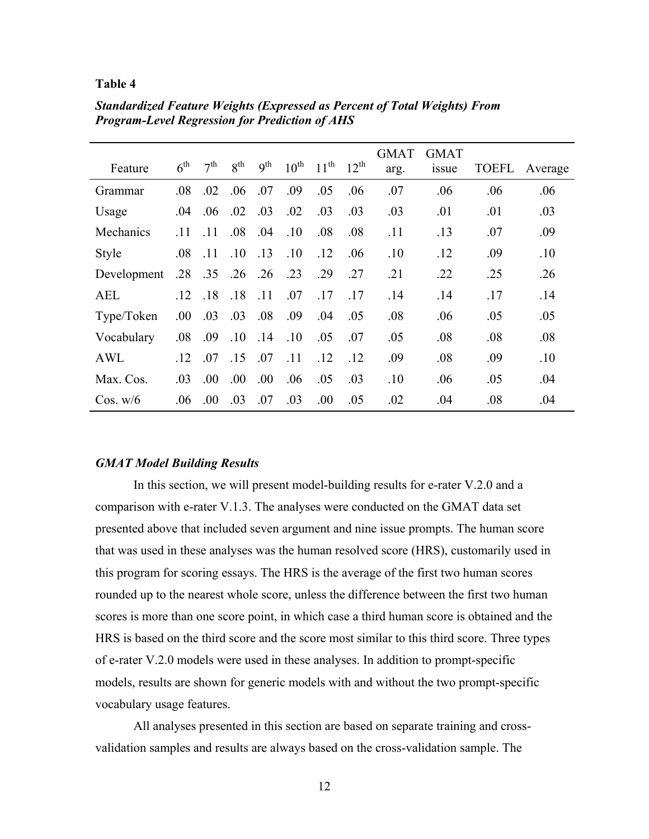| Feature      | $6^{\text{th}}$ | $7^{th}$ | $8^{\text{th}}$ | 9 <sup>th</sup> | $10^{\text{th}}$ | $11^{th}$ | $12^{th}$ | <b>GMAT</b> | <b>GMAT</b><br>1SSue | TOEFL | Average |
|--------------|-----------------|----------|-----------------|-----------------|------------------|-----------|-----------|-------------|----------------------|-------|---------|
|              |                 |          |                 |                 |                  |           |           | arg.        |                      |       |         |
| Grammar      | .08             | .02      | .06             | .07             | .09              | .05       | .06       | .07         | .06                  | .06   | .06     |
| Usage        | .04             | .06      | .02             | .03             | .02              | .03       | .03       | .03         | .01                  | .01   | .03     |
| Mechanics    | .11             | .11      | .08             | .04             | .10              | .08       | .08       | .11         | .13                  | .07   | .09     |
| <b>Style</b> | .08             | .11      | .10             | .13             | .10              | .12       | .06       | .10         | .12                  | .09   | .10     |
| Development  | .28             | .35      | .26             | .26             | .23              | .29       | .27       | .21         | .22                  | .25   | .26     |
| <b>AEL</b>   | .12             | .18      | .18             | .11             | .07              | .17       | .17       | .14         | .14                  | .17   | .14     |
| Type/Token   | .00.            | .03      | .03             | .08             | .09              | .04       | .05       | .08         | .06                  | .05   | .05     |
| Vocabulary   | .08             | .09      | .10             | .14             | .10              | .05       | .07       | .05         | .08                  | .08   | .08     |
| AWL          | .12             | .07      | .15             | .07             | .11              | .12       | .12       | .09         | .08                  | .09   | .10     |
| Max. Cos.    | .03             | .00.     | .00.            | .00.            | .06              | .05       | .03       | .10         | .06                  | .05   | .04     |
| $\cos$ , w/6 | .06             | .00.     | .03             | .07             | .03              | .00       | .05       | .02         | .04                  | .08   | .04     |

*Standardized Feature Weights (Expressed as Percent of Total Weights) From Program-Level Regression for Prediction of AHS* 

### *GMAT Model Building Results*

In this section, we will present model-building results for e-rater V.2.0 and a comparison with e-rater V.1.3. The analyses were conducted on the GMAT data set presented above that included seven argument and nine issue prompts. The human score that was used in these analyses was the human resolved score (HRS), customarily used in this program for scoring essays. The HRS is the average of the first two human scores rounded up to the nearest whole score, unless the difference between the first two human scores is more than one score point, in which case a third human score is obtained and the HRS is based on the third score and the score most similar to this third score. Three types of e-rater V.2.0 models were used in these analyses. In addition to prompt-specific models, results are shown for generic models with and without the two prompt-specific vocabulary usage features.

All analyses presented in this section are based on separate training and crossvalidation samples and results are always based on the cross-validation sample. The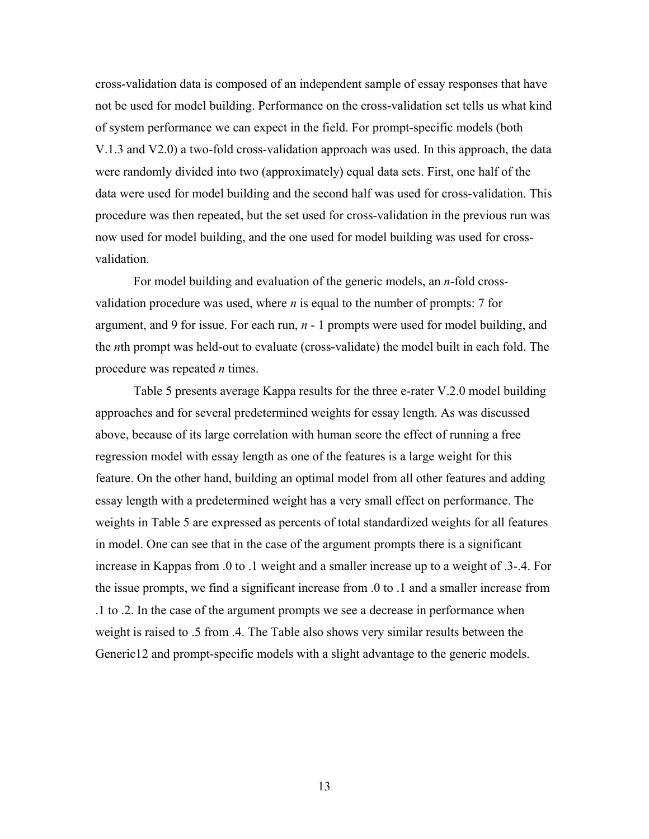cross-validation data is composed of an independent sample of essay responses that have not be used for model building. Performance on the cross-validation set tells us what kind of system performance we can expect in the field. For prompt-specific models (both V.1.3 and V2.0) a two-fold cross-validation approach was used. In this approach, the data were randomly divided into two (approximately) equal data sets. First, one half of the data were used for model building and the second half was used for cross-validation. This procedure was then repeated, but the set used for cross-validation in the previous run was now used for model building, and the one used for model building was used for crossvalidation.

For model building and evaluation of the generic models, an *n*-fold crossvalidation procedure was used, where *n* is equal to the number of prompts: 7 for argument, and 9 for issue. For each run, *n* - 1 prompts were used for model building, and the *n*th prompt was held-out to evaluate (cross-validate) the model built in each fold. The procedure was repeated *n* times.

Table 5 presents average Kappa results for the three e-rater V.2.0 model building approaches and for several predetermined weights for essay length. As was discussed above, because of its large correlation with human score the effect of running a free regression model with essay length as one of the features is a large weight for this feature. On the other hand, building an optimal model from all other features and adding essay length with a predetermined weight has a very small effect on performance. The weights in Table 5 are expressed as percents of total standardized weights for all features in model. One can see that in the case of the argument prompts there is a significant increase in Kappas from .0 to .1 weight and a smaller increase up to a weight of .3-.4. For the issue prompts, we find a significant increase from .0 to .1 and a smaller increase from .1 to .2. In the case of the argument prompts we see a decrease in performance when weight is raised to .5 from .4. The Table also shows very similar results between the Generic12 and prompt-specific models with a slight advantage to the generic models.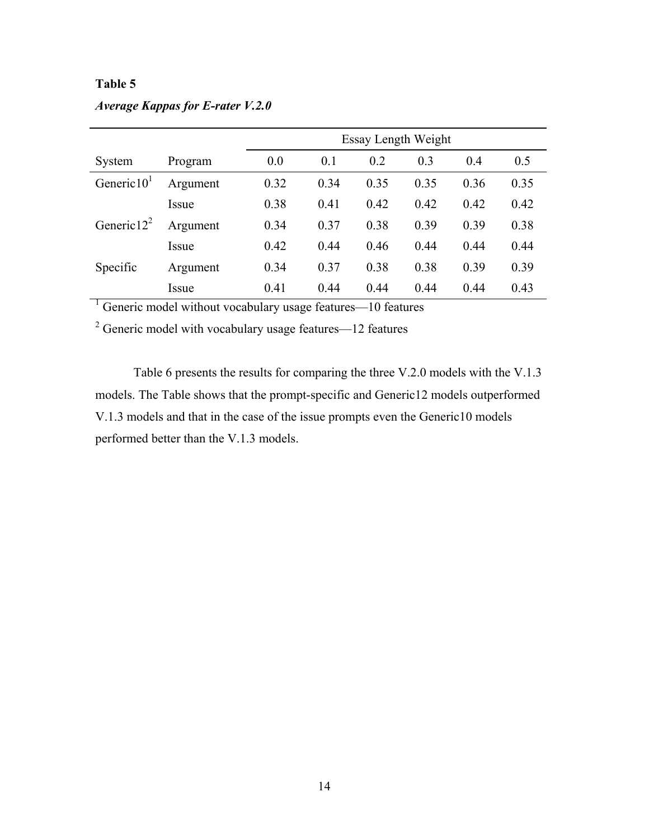# *Average Kappas for E-rater V.2.0*

|                |          | Essay Length Weight |      |      |      |      |      |  |
|----------------|----------|---------------------|------|------|------|------|------|--|
| System         | Program  | 0.0                 | 0.1  | 0.2  | 0.3  | 0.4  | 0.5  |  |
| Generic $101$  | Argument | 0.32                | 0.34 | 0.35 | 0.35 | 0.36 | 0.35 |  |
|                | Issue    | 0.38                | 0.41 | 0.42 | 0.42 | 0.42 | 0.42 |  |
| Generic $12^2$ | Argument | 0.34                | 0.37 | 0.38 | 0.39 | 0.39 | 0.38 |  |
|                | Issue    | 0.42                | 0.44 | 0.46 | 0.44 | 0.44 | 0.44 |  |
| Specific       | Argument | 0.34                | 0.37 | 0.38 | 0.38 | 0.39 | 0.39 |  |
|                | Issue    | 0.41                | 0.44 | 0.44 | 0.44 | 0.44 | 0.43 |  |

<sup>1</sup> Generic model without vocabulary usage features—10 features

 $2$  Generic model with vocabulary usage features—12 features

Table 6 presents the results for comparing the three V.2.0 models with the V.1.3 models. The Table shows that the prompt-specific and Generic12 models outperformed V.1.3 models and that in the case of the issue prompts even the Generic10 models performed better than the V.1.3 models.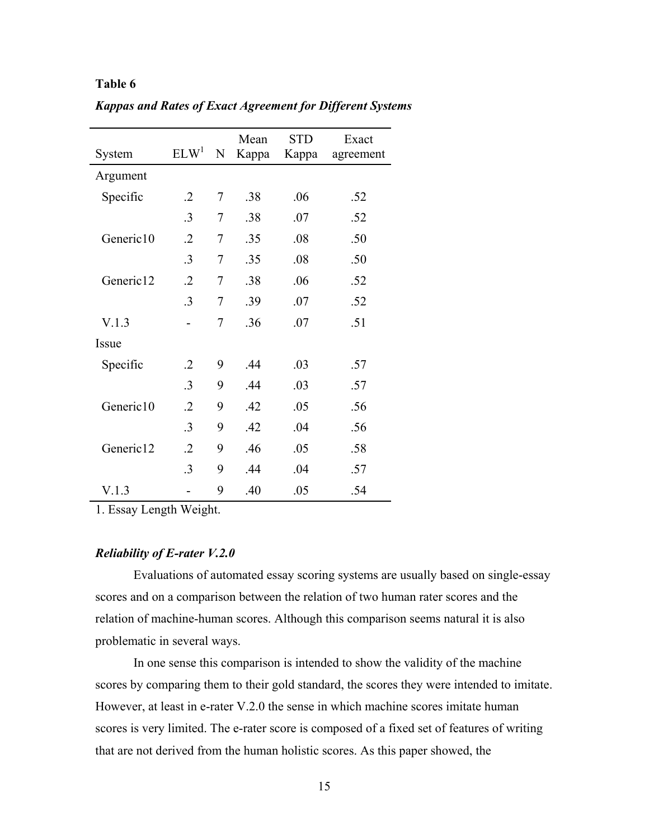| System    | ELW <sup>1</sup> | $\mathbf N$ | Mean<br>Kappa | <b>STD</b><br>Kappa | Exact<br>agreement |
|-----------|------------------|-------------|---------------|---------------------|--------------------|
| Argument  |                  |             |               |                     |                    |
| Specific  | $\cdot$ .2       | 7           | .38           | .06                 | .52                |
|           | .3               | 7           | .38           | .07                 | .52                |
| Generic10 | $\cdot$          | 7           | .35           | .08                 | .50                |
|           | .3               | 7           | .35           | .08                 | .50                |
| Generic12 | $\cdot$ .2       | 7           | .38           | .06                 | .52                |
|           | .3               | 7           | .39           | .07                 | .52                |
| V.1.3     |                  | 7           | .36           | .07                 | .51                |
| Issue     |                  |             |               |                     |                    |
| Specific  | $\cdot$ .2       | 9           | .44           | .03                 | .57                |
|           | .3               | 9           | .44           | .03                 | .57                |
| Generic10 | $\cdot$          | 9           | .42           | .05                 | .56                |
|           | $\cdot$ 3        | 9           | .42           | .04                 | .56                |
| Generic12 | $\cdot$ .2       | 9           | .46           | .05                 | .58                |
|           | .3               | 9           | .44           | .04                 | .57                |
| V.1.3     |                  | 9           | .40           | .05                 | .54                |

*Kappas and Rates of Exact Agreement for Different Systems* 

1. Essay Length Weight.

## *Reliability of E-rater V.2.0*

Evaluations of automated essay scoring systems are usually based on single-essay scores and on a comparison between the relation of two human rater scores and the relation of machine-human scores. Although this comparison seems natural it is also problematic in several ways.

In one sense this comparison is intended to show the validity of the machine scores by comparing them to their gold standard, the scores they were intended to imitate. However, at least in e-rater V.2.0 the sense in which machine scores imitate human scores is very limited. The e-rater score is composed of a fixed set of features of writing that are not derived from the human holistic scores. As this paper showed, the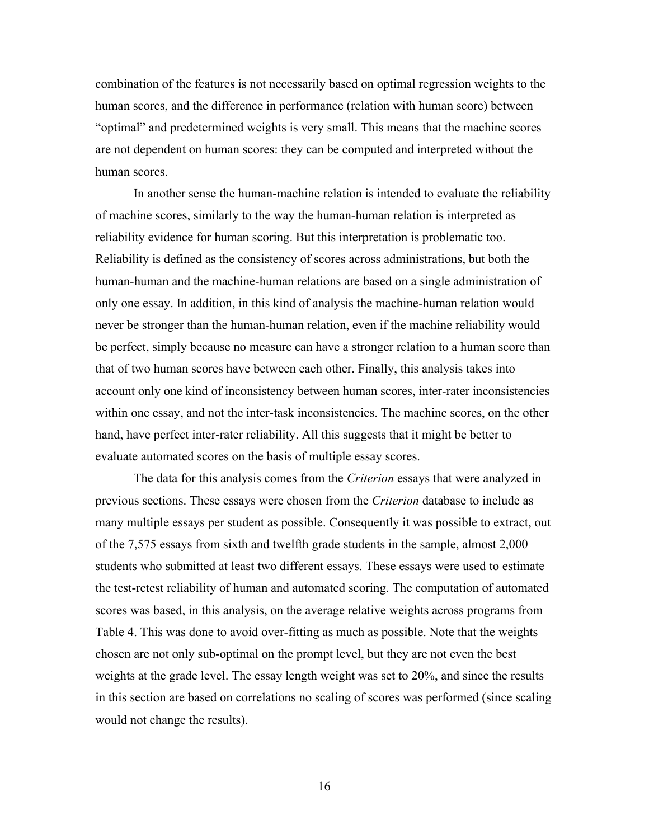combination of the features is not necessarily based on optimal regression weights to the human scores, and the difference in performance (relation with human score) between "optimal" and predetermined weights is very small. This means that the machine scores are not dependent on human scores: they can be computed and interpreted without the human scores.

In another sense the human-machine relation is intended to evaluate the reliability of machine scores, similarly to the way the human-human relation is interpreted as reliability evidence for human scoring. But this interpretation is problematic too. Reliability is defined as the consistency of scores across administrations, but both the human-human and the machine-human relations are based on a single administration of only one essay. In addition, in this kind of analysis the machine-human relation would never be stronger than the human-human relation, even if the machine reliability would be perfect, simply because no measure can have a stronger relation to a human score than that of two human scores have between each other. Finally, this analysis takes into account only one kind of inconsistency between human scores, inter-rater inconsistencies within one essay, and not the inter-task inconsistencies. The machine scores, on the other hand, have perfect inter-rater reliability. All this suggests that it might be better to evaluate automated scores on the basis of multiple essay scores.

The data for this analysis comes from the *Criterion* essays that were analyzed in previous sections. These essays were chosen from the *Criterion* database to include as many multiple essays per student as possible. Consequently it was possible to extract, out of the 7,575 essays from sixth and twelfth grade students in the sample, almost 2,000 students who submitted at least two different essays. These essays were used to estimate the test-retest reliability of human and automated scoring. The computation of automated scores was based, in this analysis, on the average relative weights across programs from Table 4. This was done to avoid over-fitting as much as possible. Note that the weights chosen are not only sub-optimal on the prompt level, but they are not even the best weights at the grade level. The essay length weight was set to 20%, and since the results in this section are based on correlations no scaling of scores was performed (since scaling would not change the results).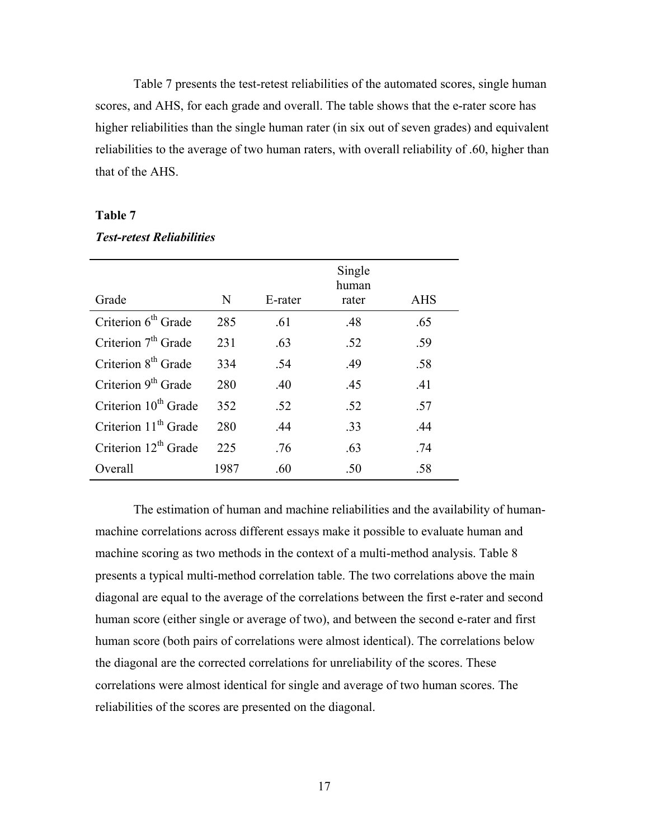Table 7 presents the test-retest reliabilities of the automated scores, single human scores, and AHS, for each grade and overall. The table shows that the e-rater score has higher reliabilities than the single human rater (in six out of seven grades) and equivalent reliabilities to the average of two human raters, with overall reliability of .60, higher than that of the AHS.

## **Table 7**

|  | <b>Test-retest Reliabilities</b> |
|--|----------------------------------|
|--|----------------------------------|

| Grade                            | N    | E-rater | Single<br>human<br>rater | <b>AHS</b> |
|----------------------------------|------|---------|--------------------------|------------|
| Criterion 6 <sup>th</sup> Grade  | 285  | .61     | .48                      | .65        |
| Criterion $7th$ Grade            | 231  | .63     | .52                      | .59        |
| Criterion 8 <sup>th</sup> Grade  | 334  | .54     | .49                      | .58        |
| Criterion 9 <sup>th</sup> Grade  | 280  | .40     | .45                      | .41        |
| Criterion 10 <sup>th</sup> Grade | 352  | .52     | .52                      | .57        |
| Criterion 11 <sup>th</sup> Grade | 280  | .44     | .33                      | .44        |
| Criterion 12 <sup>th</sup> Grade | 225  | .76     | .63                      | .74        |
| Overall                          | 1987 | .60     | .50                      | .58        |

The estimation of human and machine reliabilities and the availability of humanmachine correlations across different essays make it possible to evaluate human and machine scoring as two methods in the context of a multi-method analysis. Table 8 presents a typical multi-method correlation table. The two correlations above the main diagonal are equal to the average of the correlations between the first e-rater and second human score (either single or average of two), and between the second e-rater and first human score (both pairs of correlations were almost identical). The correlations below the diagonal are the corrected correlations for unreliability of the scores. These correlations were almost identical for single and average of two human scores. The reliabilities of the scores are presented on the diagonal.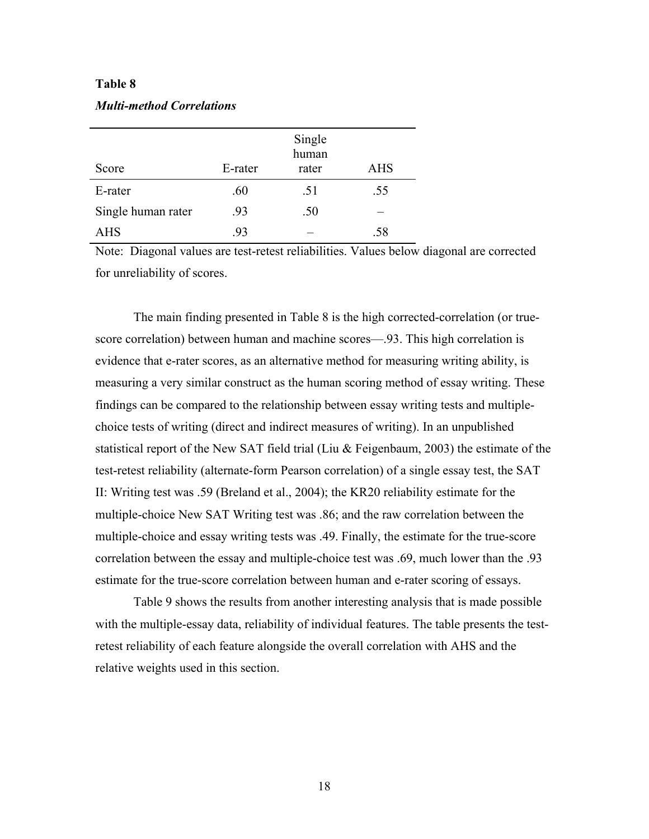| Score              | E-rater | Single<br>human<br>rater | <b>AHS</b> |
|--------------------|---------|--------------------------|------------|
| E-rater            | .60     | .51                      | .55        |
| Single human rater | .93     | .50                      |            |
| AHS                | .93     |                          | .58        |

Note: Diagonal values are test-retest reliabilities. Values below diagonal are corrected for unreliability of scores.

The main finding presented in Table 8 is the high corrected-correlation (or truescore correlation) between human and machine scores—.93. This high correlation is evidence that e-rater scores, as an alternative method for measuring writing ability, is measuring a very similar construct as the human scoring method of essay writing. These findings can be compared to the relationship between essay writing tests and multiplechoice tests of writing (direct and indirect measures of writing). In an unpublished statistical report of the New SAT field trial (Liu & Feigenbaum, 2003) the estimate of the test-retest reliability (alternate-form Pearson correlation) of a single essay test, the SAT II: Writing test was .59 (Breland et al., 2004); the KR20 reliability estimate for the multiple-choice New SAT Writing test was .86; and the raw correlation between the multiple-choice and essay writing tests was .49. Finally, the estimate for the true-score correlation between the essay and multiple-choice test was .69, much lower than the .93 estimate for the true-score correlation between human and e-rater scoring of essays.

Table 9 shows the results from another interesting analysis that is made possible with the multiple-essay data, reliability of individual features. The table presents the testretest reliability of each feature alongside the overall correlation with AHS and the relative weights used in this section.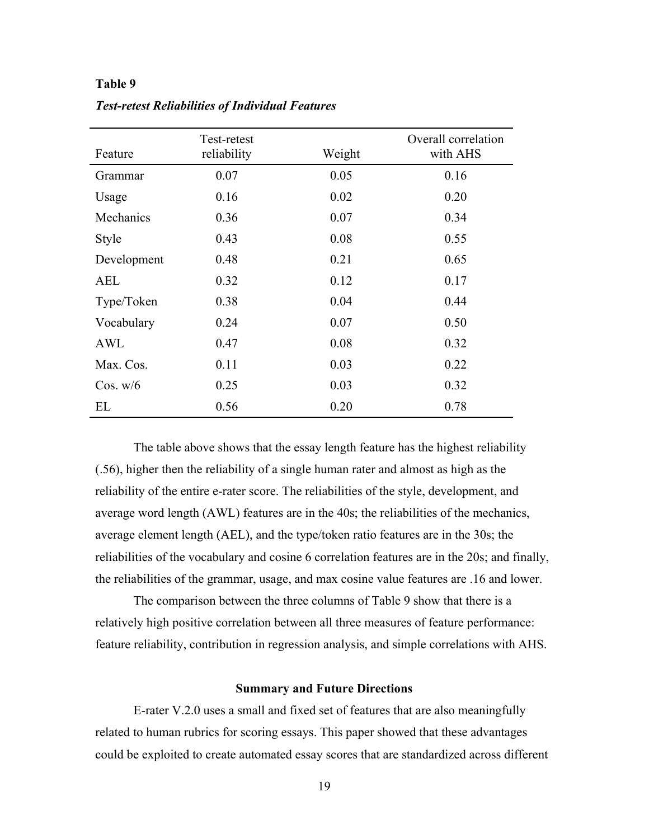| Feature      | Test-retest<br>reliability | Weight | Overall correlation<br>with AHS |
|--------------|----------------------------|--------|---------------------------------|
| Grammar      | 0.07                       | 0.05   | 0.16                            |
| Usage        | 0.16                       | 0.02   | 0.20                            |
| Mechanics    | 0.36                       | 0.07   | 0.34                            |
| <b>Style</b> | 0.43                       | 0.08   | 0.55                            |
| Development  | 0.48                       | 0.21   | 0.65                            |
| <b>AEL</b>   | 0.32                       | 0.12   | 0.17                            |
| Type/Token   | 0.38                       | 0.04   | 0.44                            |
| Vocabulary   | 0.24                       | 0.07   | 0.50                            |
| AWL          | 0.47                       | 0.08   | 0.32                            |
| Max. Cos.    | 0.11                       | 0.03   | 0.22                            |
| Cos. w/6     | 0.25                       | 0.03   | 0.32                            |
| EL           | 0.56                       | 0.20   | 0.78                            |

*Test-retest Reliabilities of Individual Features* 

The table above shows that the essay length feature has the highest reliability (.56), higher then the reliability of a single human rater and almost as high as the reliability of the entire e-rater score. The reliabilities of the style, development, and average word length (AWL) features are in the 40s; the reliabilities of the mechanics, average element length (AEL), and the type/token ratio features are in the 30s; the reliabilities of the vocabulary and cosine 6 correlation features are in the 20s; and finally, the reliabilities of the grammar, usage, and max cosine value features are .16 and lower.

The comparison between the three columns of Table 9 show that there is a relatively high positive correlation between all three measures of feature performance: feature reliability, contribution in regression analysis, and simple correlations with AHS.

### **Summary and Future Directions**

E-rater V.2.0 uses a small and fixed set of features that are also meaningfully related to human rubrics for scoring essays. This paper showed that these advantages could be exploited to create automated essay scores that are standardized across different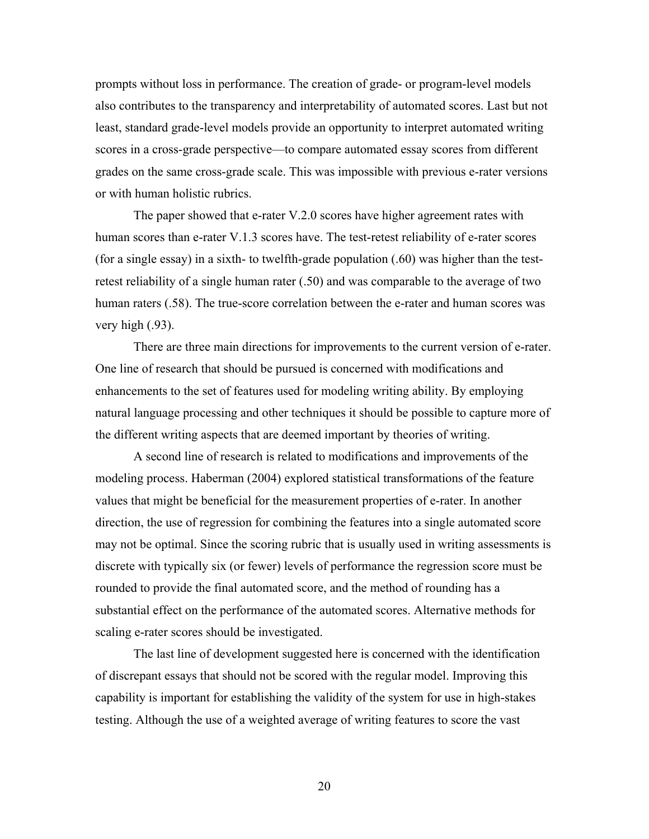prompts without loss in performance. The creation of grade- or program-level models also contributes to the transparency and interpretability of automated scores. Last but not least, standard grade-level models provide an opportunity to interpret automated writing scores in a cross-grade perspective—to compare automated essay scores from different grades on the same cross-grade scale. This was impossible with previous e-rater versions or with human holistic rubrics.

The paper showed that e-rater V.2.0 scores have higher agreement rates with human scores than e-rater V.1.3 scores have. The test-retest reliability of e-rater scores (for a single essay) in a sixth- to twelfth-grade population (.60) was higher than the testretest reliability of a single human rater (.50) and was comparable to the average of two human raters (.58). The true-score correlation between the e-rater and human scores was very high (.93).

There are three main directions for improvements to the current version of e-rater. One line of research that should be pursued is concerned with modifications and enhancements to the set of features used for modeling writing ability. By employing natural language processing and other techniques it should be possible to capture more of the different writing aspects that are deemed important by theories of writing.

A second line of research is related to modifications and improvements of the modeling process. Haberman (2004) explored statistical transformations of the feature values that might be beneficial for the measurement properties of e-rater. In another direction, the use of regression for combining the features into a single automated score may not be optimal. Since the scoring rubric that is usually used in writing assessments is discrete with typically six (or fewer) levels of performance the regression score must be rounded to provide the final automated score, and the method of rounding has a substantial effect on the performance of the automated scores. Alternative methods for scaling e-rater scores should be investigated.

The last line of development suggested here is concerned with the identification of discrepant essays that should not be scored with the regular model. Improving this capability is important for establishing the validity of the system for use in high-stakes testing. Although the use of a weighted average of writing features to score the vast